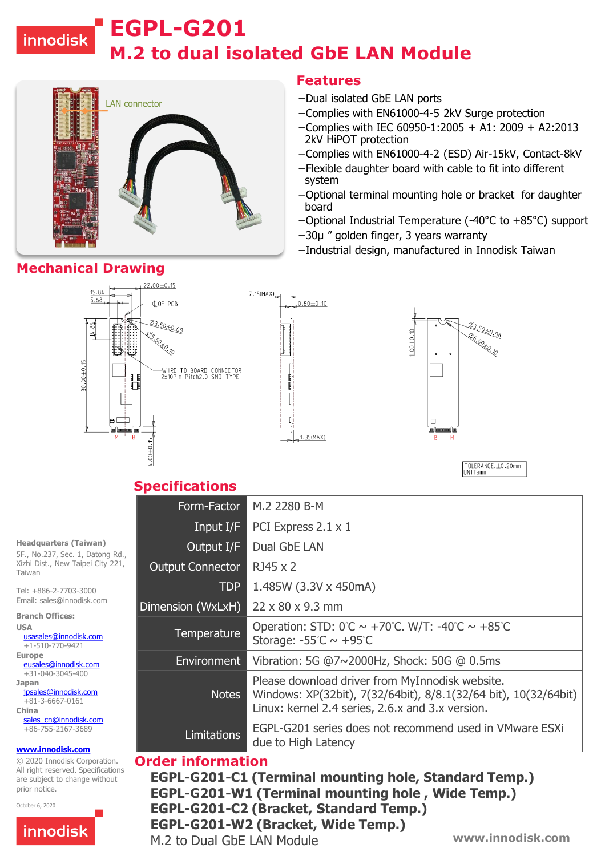# innodisk

# **M.2 to dual isolated GbE LAN Module EGPL-G201**



### **Features**

- −Dual isolated GbE LAN ports
- −Complies with EN61000-4-5 2kV Surge protection
- −Complies with IEC 60950-1:2005 + A1: 2009 + A2:2013 2kV HiPOT protection
- −Complies with EN61000-4-2 (ESD) Air-15kV, Contact-8kV
- −Flexible daughter board with cable to fit into different system
- −Optional terminal mounting hole or bracket for daughter board
- −Optional Industrial Temperature (-40°C to +85°C) support
- −30µ " golden finger, 3 years warranty
- −Industrial design, manufactured in Innodisk Taiwan

# **Mechanical Drawing**



TOLERANCE: ±0.20mm UNIT:mm

### **Specifications**

| Form-Factor             | M.2 2280 B-M                                                                                                                                                           |
|-------------------------|------------------------------------------------------------------------------------------------------------------------------------------------------------------------|
| Input I/F               | PCI Express 2.1 x 1                                                                                                                                                    |
| Output I/F              | Dual GbE LAN                                                                                                                                                           |
| <b>Output Connector</b> | RJ45 x 2                                                                                                                                                               |
| <b>TDP</b>              | 1.485W (3.3V x 450mA)                                                                                                                                                  |
| Dimension (WxLxH)       | $22 \times 80 \times 9.3$ mm                                                                                                                                           |
| Temperature             | Operation: STD: $0^\circ$ C ~ +70 $\circ$ C. W/T: -40 $\circ$ C ~ +85 $\circ$ C<br>Storage: $-55^{\circ}$ C ~ $+95^{\circ}$ C                                          |
| Environment             | Vibration: 5G @7~2000Hz, Shock: 50G @ 0.5ms                                                                                                                            |
| <b>Notes</b>            | Please download driver from MyInnodisk website.<br>Windows: XP(32bit), 7(32/64bit), 8/8.1(32/64 bit), 10(32/64bit)<br>Linux: kernel 2.4 series, 2.6.x and 3.x version. |
| <b>Limitations</b>      | EGPL-G201 series does not recommend used in VMware ESXi<br>due to High Latency                                                                                         |

#### **Order information**

**www.innodisk.com EGPL-G201-C1 (Terminal mounting hole, Standard Temp.) EGPL-G201-W1 (Terminal mounting hole , Wide Temp.) EGPL-G201-C2 (Bracket, Standard Temp.) EGPL-G201-W2 (Bracket, Wide Temp.)** M.2 to Dual GbE LAN Module

5F., No.237, Sec. 1, Datong Rd., Xizhi Dist., New Taipei City 221, Taiwan

**Headquarters (Taiwan)** 

Tel: +886-2-7703-3000 Email: sales@innodisk.com

**Branch Offices: USA**

[usasales@innodisk.com](mailto:usasales@innodisk.com)  $+1-510-770-9421$ 

**Europe**

[eusales@innodisk.com](mailto:eusales@innodisk.com) +31-040-3045-400 **Japan** [jpsales@innodisk.com](mailto:jpsales@innodisk.com)

+81-3-6667-0161 **China**

[sales\\_cn@innodisk.com](mailto:sales_cn@innodisk.com) +86-755-2167-3689

#### **[www.innodisk.com](http://www.innodisk.com/)**

© 2020 Innodisk Corporation. All right reserved. Specifications are subject to change without prior notice.

October 6, 2020